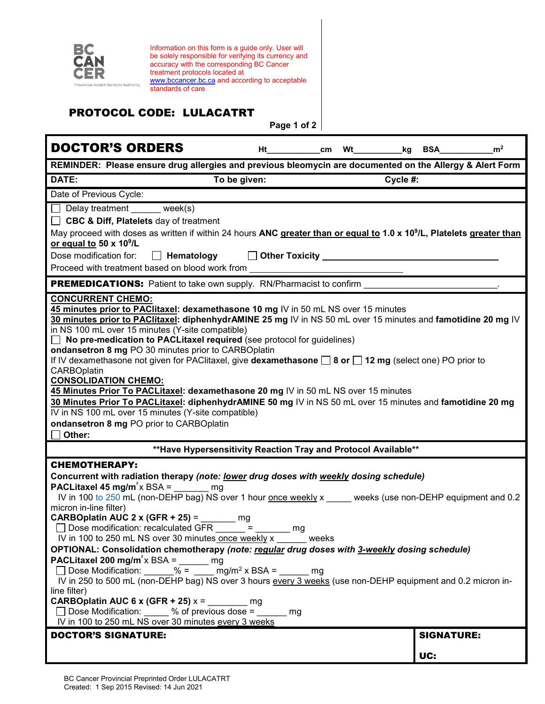

Information on this form is a guide only. User will be solely responsible for verifying its currency and accuracy with the corresponding BC Cancer treatment protocols located at [www.bccancer.bc.ca](http://www.bccancer.bc.ca/) and according to acceptable standards of care

## PROTOCOL CODE: LULACATRT

**Page 1 of 2**

| <b>DOCTOR'S ORDERS</b>                                                                                                                                                                                                                                                                                                                                                                                                                                                                                                                                                                                                                                                                                                                                                                                                                                                                                                                                                                                  | Ht           | cm | <b>Wt</b> | _kg | BSA                      | m <sup>2</sup> |
|---------------------------------------------------------------------------------------------------------------------------------------------------------------------------------------------------------------------------------------------------------------------------------------------------------------------------------------------------------------------------------------------------------------------------------------------------------------------------------------------------------------------------------------------------------------------------------------------------------------------------------------------------------------------------------------------------------------------------------------------------------------------------------------------------------------------------------------------------------------------------------------------------------------------------------------------------------------------------------------------------------|--------------|----|-----------|-----|--------------------------|----------------|
| REMINDER: Please ensure drug allergies and previous bleomycin are documented on the Allergy & Alert Form                                                                                                                                                                                                                                                                                                                                                                                                                                                                                                                                                                                                                                                                                                                                                                                                                                                                                                |              |    |           |     |                          |                |
| DATE:                                                                                                                                                                                                                                                                                                                                                                                                                                                                                                                                                                                                                                                                                                                                                                                                                                                                                                                                                                                                   | To be given: |    | Cycle #:  |     |                          |                |
| Date of Previous Cycle:                                                                                                                                                                                                                                                                                                                                                                                                                                                                                                                                                                                                                                                                                                                                                                                                                                                                                                                                                                                 |              |    |           |     |                          |                |
| $\Box$ Delay treatment week(s)<br><b>CBC &amp; Diff, Platelets</b> day of treatment<br>May proceed with doses as written if within 24 hours ANC greater than or equal to 1.0 x 10 <sup>9</sup> /L, Platelets greater than<br>or equal to 50 x 10 <sup>9</sup> /L<br>Dose modification for:<br>$\Box$ Other Toxicity $\Box$<br>Hematology<br>Proceed with treatment based on blood work from                                                                                                                                                                                                                                                                                                                                                                                                                                                                                                                                                                                                             |              |    |           |     |                          |                |
| <b>PREMEDICATIONS:</b> Patient to take own supply. RN/Pharmacist to confirm                                                                                                                                                                                                                                                                                                                                                                                                                                                                                                                                                                                                                                                                                                                                                                                                                                                                                                                             |              |    |           |     |                          |                |
| <b>CONCURRENT CHEMO:</b><br>45 minutes prior to PAClitaxel: dexamethasone 10 mg IV in 50 mL NS over 15 minutes<br>30 minutes prior to PAClitaxel: diphenhydrAMINE 25 mg IV in NS 50 mL over 15 minutes and famotidine 20 mg IV<br>in NS 100 mL over 15 minutes (Y-site compatible)<br>No pre-medication to PACLitaxel required (see protocol for guidelines)<br>$\perp$<br>ondansetron 8 mg PO 30 minutes prior to CARBOplatin<br>If IV dexamethasone not given for PAClitaxel, give <b>dexamethasone <math>\Box</math> 8 or <math>\Box</math> 12 mg</b> (select one) PO prior to<br><b>CARBOplatin</b><br><b>CONSOLIDATION CHEMO:</b><br>45 Minutes Prior To PACLitaxel: dexamethasone 20 mg IV in 50 mL NS over 15 minutes<br>30 Minutes Prior To PACLitaxel: diphenhydrAMINE 50 mg IV in NS 50 mL over 15 minutes and famotidine 20 mg<br>IV in NS 100 mL over 15 minutes (Y-site compatible)<br>ondansetron 8 mg PO prior to CARBOplatin<br>Other:                                                  |              |    |           |     |                          |                |
| ** Have Hypersensitivity Reaction Tray and Protocol Available**                                                                                                                                                                                                                                                                                                                                                                                                                                                                                                                                                                                                                                                                                                                                                                                                                                                                                                                                         |              |    |           |     |                          |                |
| <b>CHEMOTHERAPY:</b><br>Concurrent with radiation therapy (note: lower drug doses with weekly dosing schedule)<br>PACLitaxel 45 mg/m <sup>2</sup> x BSA =<br>mg<br>IV in 100 to 250 mL (non-DEHP bag) NS over 1 hour once weekly x weeks (use non-DEHP equipment and 0.2<br>micron in-line filter)<br>CARBOplatin AUC 2 x (GFR + 25) =<br>mg<br>Dose modification: recalculated GFR<br>$=$<br>mg<br>IV in 100 to 250 mL NS over 30 minutes once weekly x weeks<br>OPTIONAL: Consolidation chemotherapy (note: requiar drug doses with 3-weekly dosing schedule)<br>PACLitaxel 200 mg/m <sup>2</sup> x BSA =<br>mg<br>□ Dose Modification: ______% = ____ mg/m <sup>2</sup> x BSA = _____ mg<br>IV in 250 to 500 mL (non-DEHP bag) NS over 3 hours every 3 weeks (use non-DEHP equipment and 0.2 micron in-<br>line filter)<br><b>CARBOplatin AUC 6 x (GFR + 25) <math>x =</math></b> mg<br>□ Dose Modification: 30% % of previous dose = 30% mg<br>IV in 100 to 250 mL NS over 30 minutes every 3 weeks |              |    |           |     |                          |                |
| <b>DOCTOR'S SIGNATURE:</b>                                                                                                                                                                                                                                                                                                                                                                                                                                                                                                                                                                                                                                                                                                                                                                                                                                                                                                                                                                              |              |    |           |     | <b>SIGNATURE:</b><br>UC: |                |